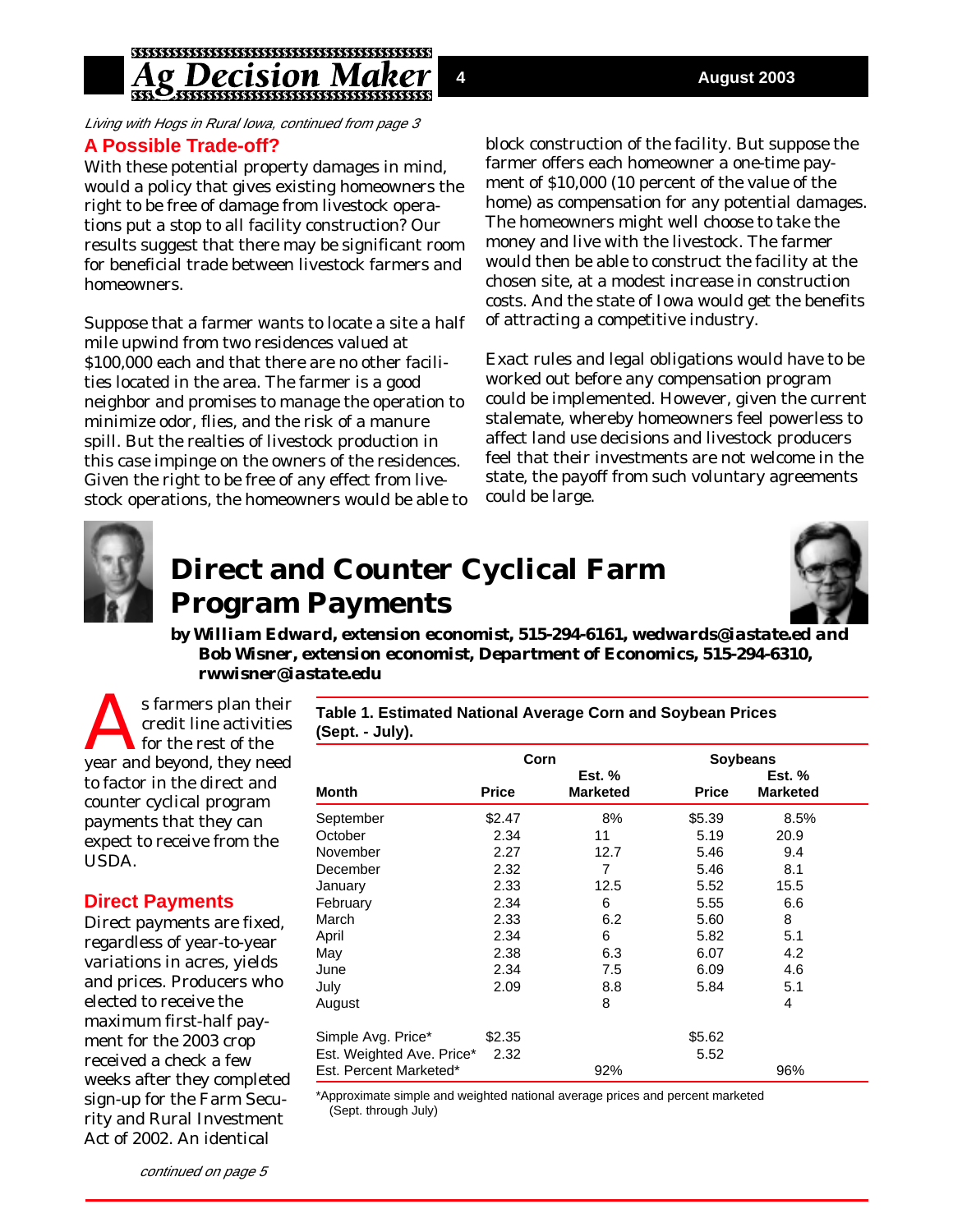# *ecision N*

Living with Hogs in Rural Iowa, continued from page 3 **A Possible Trade-off?**

With these potential property damages in mind, would a policy that gives existing homeowners the right to be free of damage from livestock operations put a stop to all facility construction? Our results suggest that there may be significant room for beneficial trade between livestock farmers and homeowners.

Suppose that a farmer wants to locate a site a half mile upwind from two residences valued at \$100,000 each and that there are no other facilities located in the area. The farmer is a good neighbor and promises to manage the operation to minimize odor, flies, and the risk of a manure spill. But the realties of livestock production in this case impinge on the owners of the residences. Given the right to be free of any effect from livestock operations, the homeowners would be able to block construction of the facility. But suppose the farmer offers each homeowner a one-time payment of \$10,000 (10 percent of the value of the home) as compensation for any potential damages. The homeowners might well choose to take the money and live with the livestock. The farmer would then be able to construct the facility at the chosen site, at a modest increase in construction costs. And the state of Iowa would get the benefits of attracting a competitive industry.

Exact rules and legal obligations would have to be worked out before any compensation program could be implemented. However, given the current stalemate, whereby homeowners feel powerless to affect land use decisions and livestock producers feel that their investments are not welcome in the state, the payoff from such voluntary agreements could be large.



## **Direct and Counter Cyclical Farm Program Payments**



*by William Edward, extension economist, 515-294-6161, wedwards@iastate.ed and Bob Wisner, extension economist, Department of Economics, 515-294-6310, rwwisner@iastate.edu*

s farmers plan their<br>credit line activities<br>for the rest of the<br>vear and beyond they need credit line activities for the rest of the year and beyond, they need to factor in the direct and counter cyclical program payments that they can expect to receive from the USDA.

#### **Direct Payments**

Direct payments are fixed, regardless of year-to-year variations in acres, yields and prices. Producers who elected to receive the maximum first-half payment for the 2003 crop received a check a few weeks after they completed sign-up for the Farm Security and Rural Investment Act of 2002. An identical

**Table 1. Estimated National Average Corn and Soybean Prices (Sept. - July).**

| <b>Month</b>              | Corn         |                                  | <b>Soybeans</b> |                                  |
|---------------------------|--------------|----------------------------------|-----------------|----------------------------------|
|                           | <b>Price</b> | <b>Est.</b> %<br><b>Marketed</b> | <b>Price</b>    | <b>Est. %</b><br><b>Marketed</b> |
| September                 | \$2.47       | 8%                               | \$5.39          | 8.5%                             |
| October                   | 2.34         | 11                               | 5.19            | 20.9                             |
| November                  | 2.27         | 12.7                             | 5.46            | 9.4                              |
| December                  | 2.32         | 7                                | 5.46            | 8.1                              |
| January                   | 2.33         | 12.5                             | 5.52            | 15.5                             |
| February                  | 2.34         | 6                                | 5.55            | 6.6                              |
| March                     | 2.33         | 6.2                              | 5.60            | 8                                |
| April                     | 2.34         | 6                                | 5.82            | 5.1                              |
| May                       | 2.38         | 6.3                              | 6.07            | 4.2                              |
| June                      | 2.34         | 7.5                              | 6.09            | 4.6                              |
| July                      | 2.09         | 8.8                              | 5.84            | 5.1                              |
| August                    |              | 8                                |                 | 4                                |
| Simple Avg. Price*        | \$2.35       |                                  | \$5.62          |                                  |
| Est. Weighted Ave. Price* | 2.32         |                                  | 5.52            |                                  |
| Est. Percent Marketed*    |              | 92%                              |                 | 96%                              |

\*Approximate simple and weighted national average prices and percent marketed (Sept. through July)